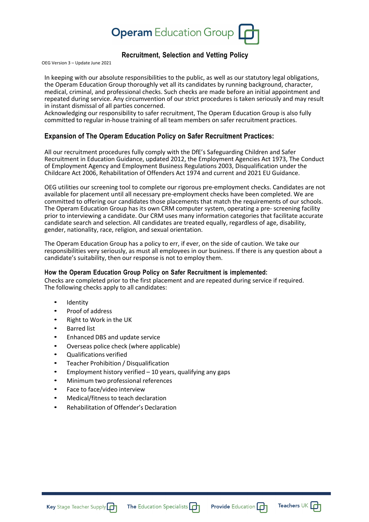

# **Recruitment, Selection and Vetting Policy**

OEG Version 3 – Update June 2021

In keeping with our absolute responsibilities to the public, as well as our statutory legal obligations, the Operam Education Group thoroughly vet all its candidates by running background, character, medical, criminal, and professional checks. Such checks are made before an initial appointment and repeated during service. Any circumvention of our strict procedures is taken seriously and may result in instant dismissal of all parties concerned.

Acknowledging our responsibility to safer recruitment, The Operam Education Group is also fully committed to regular in-house training of all team members on safer recruitment practices.

# **Expansion of The Operam Education Policy on Safer Recruitment Practices:**

All our recruitment procedures fully comply with the DfE's Safeguarding Children and Safer Recruitment in Education Guidance, updated 2012, the Employment Agencies Act 1973, The Conduct of Employment Agency and Employment Business Regulations 2003, Disqualification under the Childcare Act 2006, Rehabilitation of Offenders Act 1974 and current and 2021 EU Guidance.

OEG utilities our screening tool to complete our rigorous pre-employment checks. Candidates are not available for placement until all necessary pre-employment checks have been completed. We are committed to offering our candidates those placements that match the requirements of our schools. The Operam Education Group has its own CRM computer system, operating a pre- screening facility prior to interviewing a candidate. Our CRM uses many information categories that facilitate accurate candidate search and selection. All candidates are treated equally, regardless of age, disability, gender, nationality, race, religion, and sexual orientation.

The Operam Education Group has a policy to err, if ever, on the side of caution. We take our responsibilities very seriously, as must all employees in our business. If there is any question about a candidate's suitability, then our response is not to employ them.

# **How the Operam Education Group Policy on Safer Recruitment is implemented:**

Checks are completed prior to the first placement and are repeated during service if required. The following checks apply to all candidates:

- **Identity**
- Proof of address
- Right to Work in the UK
- Barred list
- Enhanced DBS and update service
- Overseas police check (where applicable)
- Qualifications verified
- Teacher Prohibition / Disqualification
- Employment history verified  $-10$  years, qualifying any gaps
- Minimum two professional references
- Face to face/video interview
- Medical/fitness to teach declaration
- Rehabilitation of Offender's Declaration



Teachers UK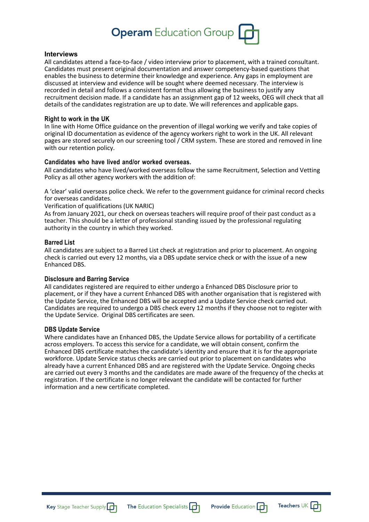# **Operam** Education Group

### **Interviews**

All candidates attend a face-to-face / video interview prior to placement, with a trained consultant. Candidates must present original documentation and answer competency-based questions that enables the business to determine their knowledge and experience. Any gaps in employment are discussed at interview and evidence will be sought where deemed necessary. The interview is recorded in detail and follows a consistent format thus allowing the business to justify any recruitment decision made. If a candidate has an assignment gap of 12 weeks, OEG will check that all details of the candidates registration are up to date. We will references and applicable gaps.

#### **Right to work in the UK**

In line with Home Office guidance on the prevention of illegal working we verify and take copies of original ID documentation as evidence of the agency workers right to work in the UK. All relevant pages are stored securely on our screening tool / CRM system. These are stored and removed in line with our retention policy.

## **Candidates who have lived and/or worked overseas.**

All candidates who have lived/worked overseas follow the same Recruitment, Selection and Vetting Policy as all other agency workers with the addition of:

A 'clear' valid overseas police check. We refer to the government guidance for criminal record checks for overseas candidates.

Verification of qualifications (UK NARIC)

As from January 2021, our check on overseas teachers will require proof of their past conduct as a teacher. This should be a letter of professional standing issued by the professional regulating authority in the country in which they worked.

#### **Barred List**

All candidates are subject to a Barred List check at registration and prior to placement. An ongoing check is carried out every 12 months, via a DBS update service check or with the issue of a new Enhanced DBS.

# **Disclosure and Barring Service**

All candidates registered are required to either undergo a Enhanced DBS Disclosure prior to placement, or if they have a current Enhanced DBS with another organisation that is registered with the Update Service, the Enhanced DBS will be accepted and a Update Service check carried out. Candidates are required to undergo a DBS check every 12 months if they choose not to register with the Update Service. Original DBS certificates are seen.

#### **DBS Update Service**

Where candidates have an Enhanced DBS, the Update Service allows for portability of a certificate across employers. To access this service for a candidate, we will obtain consent, confirm the Enhanced DBS certificate matches the candidate's identity and ensure that it is for the appropriate workforce. Update Service status checks are carried out prior to placement on candidates who already have a current Enhanced DBS and are registered with the Update Service. Ongoing checks are carried out every 3 months and the candidates are made aware of the frequency of the checks at registration. If the certificate is no longer relevant the candidate will be contacted for further information and a new certificate completed.





Teachers UK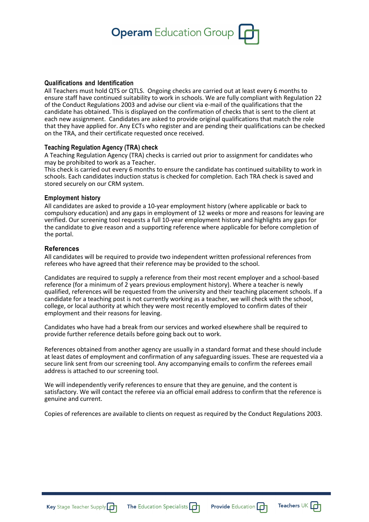

#### **Qualifications and Identification**

All Teachers must hold QTS or QTLS. Ongoing checks are carried out at least every 6 months to ensure staff have continued suitability to work in schools. We are fully compliant with Regulation 22 of the Conduct Regulations 2003 and advise our client via e-mail of the qualifications that the candidate has obtained. This is displayed on the confirmation of checks that is sent to the client at each new assignment. Candidates are asked to provide original qualifications that match the role that they have applied for. Any ECTs who register and are pending their qualifications can be checked on the TRA, and their certificate requested once received.

### **Teaching Regulation Agency (TRA) check**

A Teaching Regulation Agency (TRA) checks is carried out prior to assignment for candidates who may be prohibited to work as a Teacher.

This check is carried out every 6 months to ensure the candidate has continued suitability to work in schools. Each candidates induction status is checked for completion. Each TRA check is saved and stored securely on our CRM system.

### **Employment history**

All candidates are asked to provide a 10-year employment history (where applicable or back to compulsory education) and any gaps in employment of 12 weeks or more and reasons for leaving are verified. Our screening tool requests a full 10-year employment history and highlights any gaps for the candidate to give reason and a supporting reference where applicable for before completion of the portal.

### **References**

All candidates will be required to provide two independent written professional references from referees who have agreed that their reference may be provided to the school.

Candidates are required to supply a reference from their most recent employer and a school-based reference (for a minimum of 2 years previous employment history). Where a teacher is newly qualified, references will be requested from the university and their teaching placement schools. If a candidate for a teaching post is not currently working as a teacher, we will check with the school, college, or local authority at which they were most recently employed to confirm dates of their employment and their reasons for leaving.

Candidates who have had a break from our services and worked elsewhere shall be required to provide further reference details before going back out to work.

References obtained from another agency are usually in a standard format and these should include at least dates of employment and confirmation of any safeguarding issues. These are requested via a secure link sent from our screening tool. Any accompanying emails to confirm the referees email address is attached to our screening tool.

We will independently verify references to ensure that they are genuine, and the content is satisfactory. We will contact the referee via an official email address to confirm that the reference is genuine and current.

Copies of references are available to clients on request as required by the Conduct Regulations 2003.